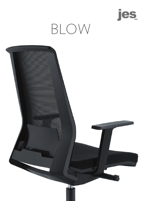

## BLOW

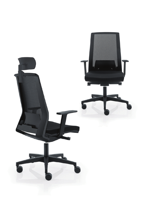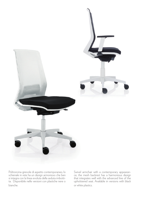

Poltroncina girevole di aspetto contemporaneo, lo schienale in rete ha un design armonioso che ben si integra con la linea evoluta della seduta imbotti- ta. Disponibile nelle versioni con plastiche nere o bianche.

Swivel armchair with a contemporary appearan- ce, the mesh backrest has a harmonious design that integrates well with the advanced line of the upholstered seat. Available in versions with black or white plastics.